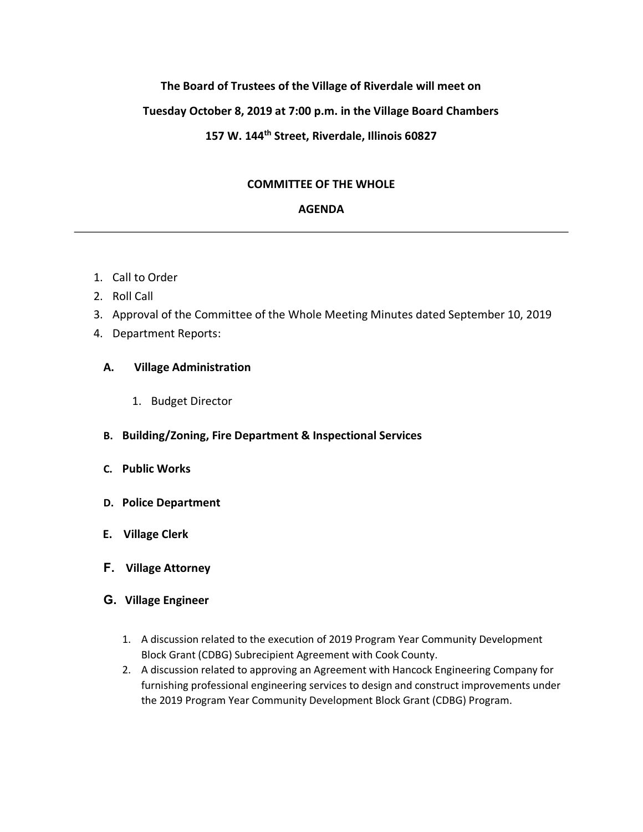# **The Board of Trustees of the Village of Riverdale will meet on**

## **Tuesday October 8, 2019 at 7:00 p.m. in the Village Board Chambers**

# **157 W. 144th Street, Riverdale, Illinois 60827**

## **COMMITTEE OF THE WHOLE**

#### **AGENDA**

- 1. Call to Order
- 2. Roll Call
- 3. Approval of the Committee of the Whole Meeting Minutes dated September 10, 2019
- 4. Department Reports:

## **A. Village Administration**

- 1. Budget Director
- **B. Building/Zoning, Fire Department & Inspectional Services**
- **C. Public Works**
- **D. Police Department**
- **E. Village Clerk**
- **F. Village Attorney**

#### **G. Village Engineer**

- 1. A discussion related to the execution of 2019 Program Year Community Development Block Grant (CDBG) Subrecipient Agreement with Cook County.
- 2. A discussion related to approving an Agreement with Hancock Engineering Company for furnishing professional engineering services to design and construct improvements under the 2019 Program Year Community Development Block Grant (CDBG) Program.